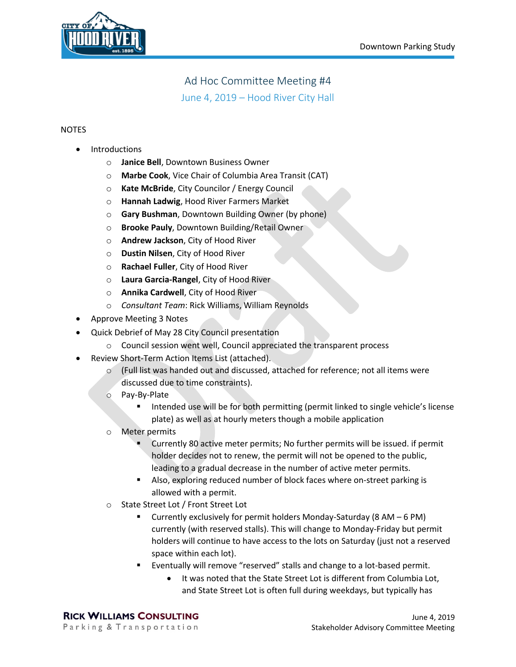

## Ad Hoc Committee Meeting #4

June 4, 2019 – Hood River City Hall

## NOTES

- **Introductions** 
	- o **Janice Bell**, Downtown Business Owner
	- o **Marbe Cook**, Vice Chair of Columbia Area Transit (CAT)
	- o **Kate McBride**, City Councilor / Energy Council
	- o **Hannah Ladwig**, Hood River Farmers Market
	- o **Gary Bushman**, Downtown Building Owner (by phone)
	- o **Brooke Pauly**, Downtown Building/Retail Owner
	- o **Andrew Jackson**, City of Hood River
	- o **Dustin Nilsen**, City of Hood River
	- o **Rachael Fuller**, City of Hood River
	- o **Laura Garcia-Rangel**, City of Hood River
	- o **Annika Cardwell**, City of Hood River
	- o *Consultant Team*: Rick Williams, William Reynolds
- Approve Meeting 3 Notes
- Quick Debrief of May 28 City Council presentation
	- o Council session went well, Council appreciated the transparent process
- Review Short-Term Action Items List (attached).
	- o (Full list was handed out and discussed, attached for reference; not all items were discussed due to time constraints).
	- o Pay-By-Plate
		- Intended use will be for both permitting (permit linked to single vehicle's license plate) as well as at hourly meters though a mobile application
	- o Meter permits
		- Currently 80 active meter permits; No further permits will be issued. if permit holder decides not to renew, the permit will not be opened to the public, leading to a gradual decrease in the number of active meter permits.
		- Also, exploring reduced number of block faces where on-street parking is allowed with a permit.
	- o State Street Lot / Front Street Lot
		- Currently exclusively for permit holders Monday-Saturday (8 AM  $-$  6 PM) currently (with reserved stalls). This will change to Monday-Friday but permit holders will continue to have access to the lots on Saturday (just not a reserved space within each lot).
		- Eventually will remove "reserved" stalls and change to a lot-based permit.
			- It was noted that the State Street Lot is different from Columbia Lot, and State Street Lot is often full during weekdays, but typically has

**RICK WILLIAMS CONSULTING** Parking & Transportation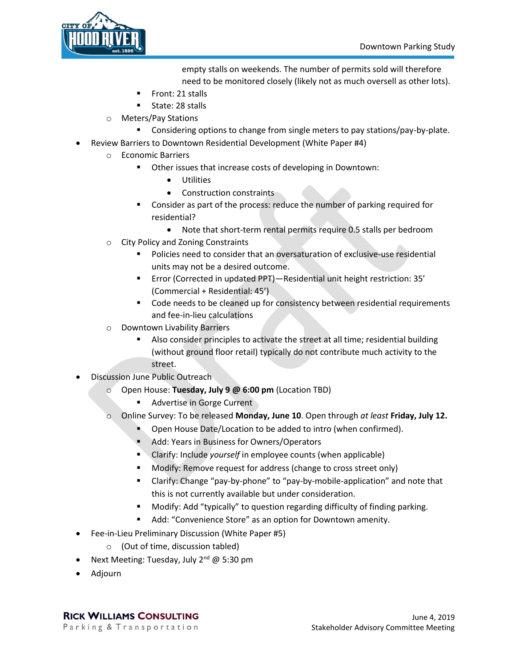

empty stalls on weekends. The number of permits sold will therefore need to be monitored closely (likely not as much oversell as other lots).

- 
- Front: 21 stalls State: 28 stalls
- o Meters/Pay Stations
	- Considering options to change from single meters to pay stations/pay-by-plate.
- Review Barriers to Downtown Residential Development (White Paper #4)
	- o Economic Barriers
		- Other issues that increase costs of developing in Downtown:
			- Utilities
			- Construction constraints
		- Consider as part of the process: reduce the number of parking required for residential?
			- Note that short-term rental permits require 0.5 stalls per bedroom
	- o City Policy and Zoning Constraints
		- Policies need to consider that an oversaturation of exclusive-use residential units may not be a desired outcome.
		- Error (Corrected in updated PPT)—Residential unit height restriction: 35' (Commercial + Residential: 45')
		- Code needs to be cleaned up for consistency between residential requirements and fee-in-lieu calculations
	- o Downtown Livability Barriers
		- Also consider principles to activate the street at all time; residential building (without ground floor retail) typically do not contribute much activity to the street.
- Discussion June Public Outreach
	- o Open House: **Tuesday, July 9 @ 6:00 pm** (Location TBD)
		- Advertise in Gorge Current
	- o Online Survey: To be released **Monday, June 10**. Open through *at least* **Friday, July 12.**
		- Open House Date/Location to be added to intro (when confirmed).
		- Add: Years in Business for Owners/Operators
		- Clarify: Include *yourself* in employee counts (when applicable)
		- Modify: Remove request for address (change to cross street only)
		- Clarify: Change "pay-by-phone" to "pay-by-mobile-application" and note that this is not currently available but under consideration.
		- Modify: Add "typically" to question regarding difficulty of finding parking.
		- Add: "Convenience Store" as an option for Downtown amenity.
- Fee-in-Lieu Preliminary Discussion (White Paper #5)
	- o (Out of time, discussion tabled)
- Next Meeting: Tuesday, July 2<sup>nd</sup> @ 5:30 pm
- Adjourn